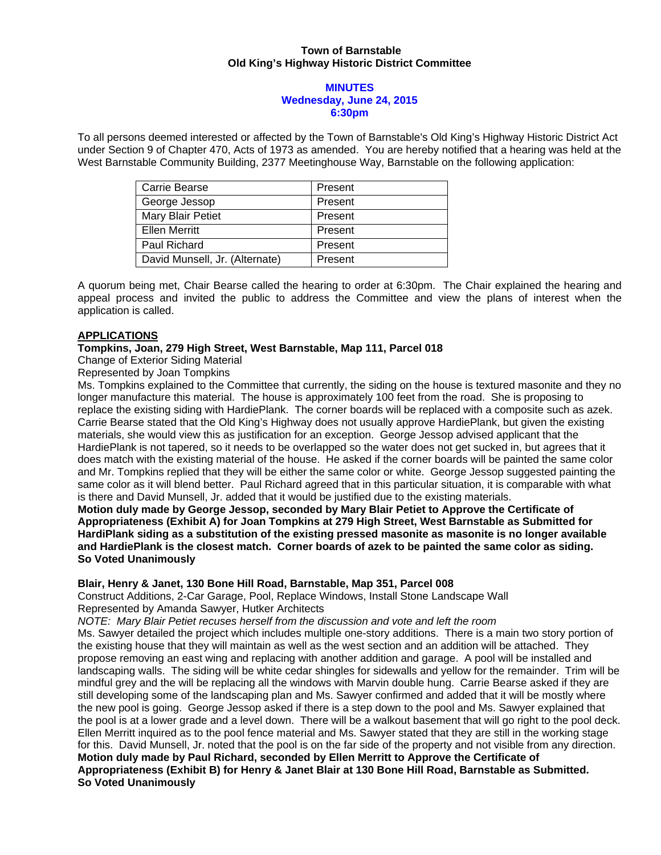## **Town of Barnstable Old King's Highway Historic District Committee**

#### **MINUTES Wednesday, June 24, 2015 6:30pm**

To all persons deemed interested or affected by the Town of Barnstable's Old King's Highway Historic District Act under Section 9 of Chapter 470, Acts of 1973 as amended. You are hereby notified that a hearing was held at the West Barnstable Community Building, 2377 Meetinghouse Way, Barnstable on the following application:

| Carrie Bearse                  | Present |
|--------------------------------|---------|
| George Jessop                  | Present |
| Mary Blair Petiet              | Present |
| <b>Ellen Merritt</b>           | Present |
| Paul Richard                   | Present |
| David Munsell, Jr. (Alternate) | Present |

A quorum being met, Chair Bearse called the hearing to order at 6:30pm. The Chair explained the hearing and appeal process and invited the public to address the Committee and view the plans of interest when the application is called.

## **APPLICATIONS**

# **Tompkins, Joan, 279 High Street, West Barnstable, Map 111, Parcel 018**

Change of Exterior Siding Material

Represented by Joan Tompkins

Ms. Tompkins explained to the Committee that currently, the siding on the house is textured masonite and they no longer manufacture this material. The house is approximately 100 feet from the road. She is proposing to replace the existing siding with HardiePlank. The corner boards will be replaced with a composite such as azek. Carrie Bearse stated that the Old King's Highway does not usually approve HardiePlank, but given the existing materials, she would view this as justification for an exception. George Jessop advised applicant that the HardiePlank is not tapered, so it needs to be overlapped so the water does not get sucked in, but agrees that it does match with the existing material of the house. He asked if the corner boards will be painted the same color and Mr. Tompkins replied that they will be either the same color or white. George Jessop suggested painting the same color as it will blend better. Paul Richard agreed that in this particular situation, it is comparable with what is there and David Munsell, Jr. added that it would be justified due to the existing materials.

**Motion duly made by George Jessop, seconded by Mary Blair Petiet to Approve the Certificate of Appropriateness (Exhibit A) for Joan Tompkins at 279 High Street, West Barnstable as Submitted for HardiPlank siding as a substitution of the existing pressed masonite as masonite is no longer available and HardiePlank is the closest match. Corner boards of azek to be painted the same color as siding. So Voted Unanimously** 

#### **Blair, Henry & Janet, 130 Bone Hill Road, Barnstable, Map 351, Parcel 008**

Construct Additions, 2-Car Garage, Pool, Replace Windows, Install Stone Landscape Wall Represented by Amanda Sawyer, Hutker Architects

*NOTE: Mary Blair Petiet recuses herself from the discussion and vote and left the room* 

Ms. Sawyer detailed the project which includes multiple one-story additions. There is a main two story portion of the existing house that they will maintain as well as the west section and an addition will be attached. They propose removing an east wing and replacing with another addition and garage. A pool will be installed and landscaping walls. The siding will be white cedar shingles for sidewalls and yellow for the remainder. Trim will be mindful grey and the will be replacing all the windows with Marvin double hung. Carrie Bearse asked if they are still developing some of the landscaping plan and Ms. Sawyer confirmed and added that it will be mostly where the new pool is going. George Jessop asked if there is a step down to the pool and Ms. Sawyer explained that the pool is at a lower grade and a level down. There will be a walkout basement that will go right to the pool deck. Ellen Merritt inquired as to the pool fence material and Ms. Sawyer stated that they are still in the working stage for this. David Munsell, Jr. noted that the pool is on the far side of the property and not visible from any direction. **Motion duly made by Paul Richard, seconded by Ellen Merritt to Approve the Certificate of Appropriateness (Exhibit B) for Henry & Janet Blair at 130 Bone Hill Road, Barnstable as Submitted. So Voted Unanimously**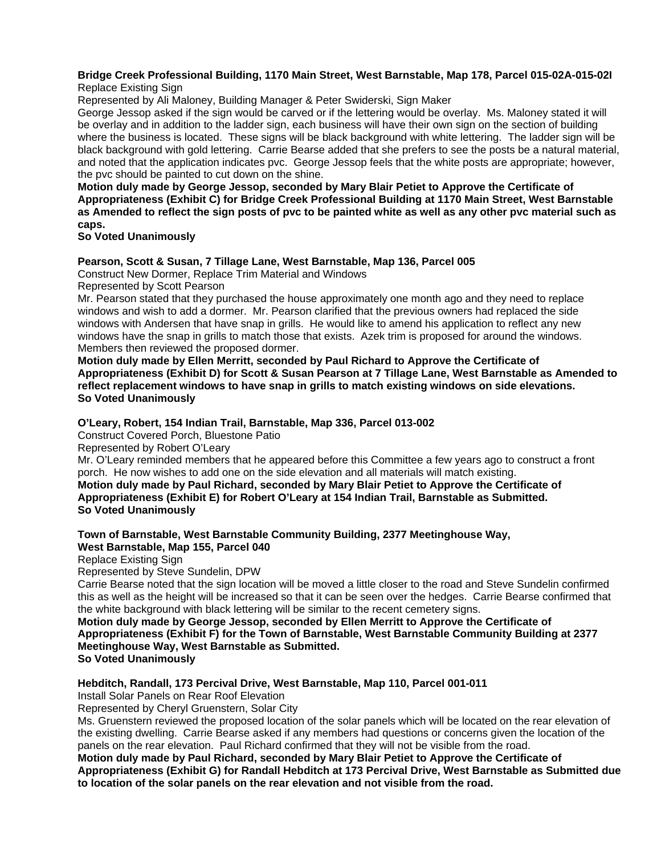#### **Bridge Creek Professional Building, 1170 Main Street, West Barnstable, Map 178, Parcel 015-02A-015-02I** Replace Existing Sign

Represented by Ali Maloney, Building Manager & Peter Swiderski, Sign Maker

George Jessop asked if the sign would be carved or if the lettering would be overlay. Ms. Maloney stated it will be overlay and in addition to the ladder sign, each business will have their own sign on the section of building where the business is located. These signs will be black background with white lettering. The ladder sign will be black background with gold lettering. Carrie Bearse added that she prefers to see the posts be a natural material, and noted that the application indicates pvc. George Jessop feels that the white posts are appropriate; however, the pvc should be painted to cut down on the shine.

**Motion duly made by George Jessop, seconded by Mary Blair Petiet to Approve the Certificate of Appropriateness (Exhibit C) for Bridge Creek Professional Building at 1170 Main Street, West Barnstable as Amended to reflect the sign posts of pvc to be painted white as well as any other pvc material such as caps.** 

## **So Voted Unanimously**

## **Pearson, Scott & Susan, 7 Tillage Lane, West Barnstable, Map 136, Parcel 005**

Construct New Dormer, Replace Trim Material and Windows

Represented by Scott Pearson

Mr. Pearson stated that they purchased the house approximately one month ago and they need to replace windows and wish to add a dormer. Mr. Pearson clarified that the previous owners had replaced the side windows with Andersen that have snap in grills. He would like to amend his application to reflect any new windows have the snap in grills to match those that exists. Azek trim is proposed for around the windows. Members then reviewed the proposed dormer.

**Motion duly made by Ellen Merritt, seconded by Paul Richard to Approve the Certificate of Appropriateness (Exhibit D) for Scott & Susan Pearson at 7 Tillage Lane, West Barnstable as Amended to reflect replacement windows to have snap in grills to match existing windows on side elevations. So Voted Unanimously** 

#### **O'Leary, Robert, 154 Indian Trail, Barnstable, Map 336, Parcel 013-002**

Construct Covered Porch, Bluestone Patio

Represented by Robert O'Leary

Mr. O'Leary reminded members that he appeared before this Committee a few years ago to construct a front porch. He now wishes to add one on the side elevation and all materials will match existing. **Motion duly made by Paul Richard, seconded by Mary Blair Petiet to Approve the Certificate of Appropriateness (Exhibit E) for Robert O'Leary at 154 Indian Trail, Barnstable as Submitted.** 

**So Voted Unanimously** 

## **Town of Barnstable, West Barnstable Community Building, 2377 Meetinghouse Way, West Barnstable, Map 155, Parcel 040**

Replace Existing Sign

Represented by Steve Sundelin, DPW

Carrie Bearse noted that the sign location will be moved a little closer to the road and Steve Sundelin confirmed this as well as the height will be increased so that it can be seen over the hedges. Carrie Bearse confirmed that the white background with black lettering will be similar to the recent cemetery signs.

#### **Motion duly made by George Jessop, seconded by Ellen Merritt to Approve the Certificate of Appropriateness (Exhibit F) for the Town of Barnstable, West Barnstable Community Building at 2377 Meetinghouse Way, West Barnstable as Submitted. So Voted Unanimously**

#### **Hebditch, Randall, 173 Percival Drive, West Barnstable, Map 110, Parcel 001-011**

Install Solar Panels on Rear Roof Elevation

Represented by Cheryl Gruenstern, Solar City

Ms. Gruenstern reviewed the proposed location of the solar panels which will be located on the rear elevation of the existing dwelling. Carrie Bearse asked if any members had questions or concerns given the location of the panels on the rear elevation. Paul Richard confirmed that they will not be visible from the road.

**Motion duly made by Paul Richard, seconded by Mary Blair Petiet to Approve the Certificate of Appropriateness (Exhibit G) for Randall Hebditch at 173 Percival Drive, West Barnstable as Submitted due to location of the solar panels on the rear elevation and not visible from the road.**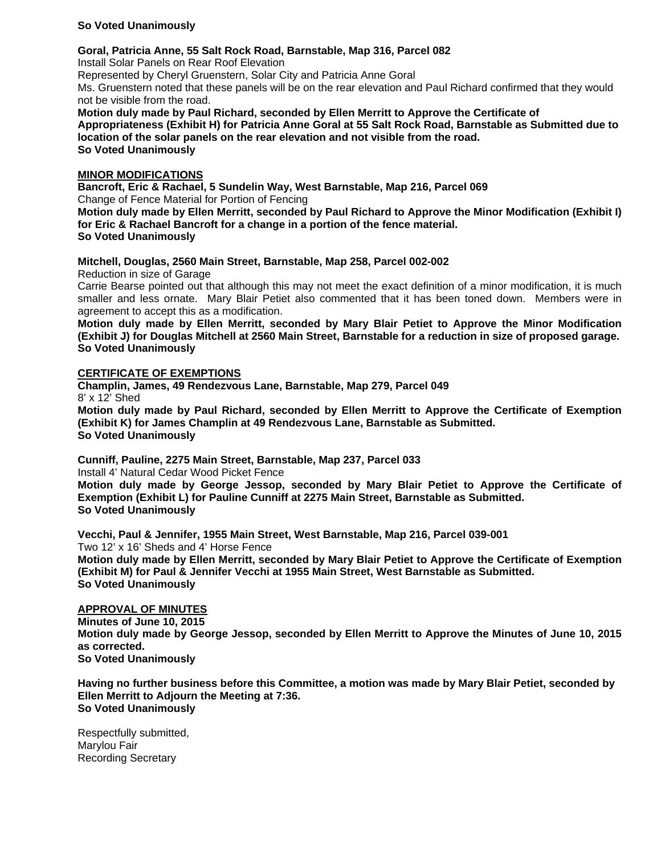## **So Voted Unanimously**

### **Goral, Patricia Anne, 55 Salt Rock Road, Barnstable, Map 316, Parcel 082**

Install Solar Panels on Rear Roof Elevation

Represented by Cheryl Gruenstern, Solar City and Patricia Anne Goral

Ms. Gruenstern noted that these panels will be on the rear elevation and Paul Richard confirmed that they would not be visible from the road.

**Motion duly made by Paul Richard, seconded by Ellen Merritt to Approve the Certificate of Appropriateness (Exhibit H) for Patricia Anne Goral at 55 Salt Rock Road, Barnstable as Submitted due to location of the solar panels on the rear elevation and not visible from the road. So Voted Unanimously** 

## **MINOR MODIFICATIONS**

**Bancroft, Eric & Rachael, 5 Sundelin Way, West Barnstable, Map 216, Parcel 069**  Change of Fence Material for Portion of Fencing

**Motion duly made by Ellen Merritt, seconded by Paul Richard to Approve the Minor Modification (Exhibit I) for Eric & Rachael Bancroft for a change in a portion of the fence material. So Voted Unanimously** 

**Mitchell, Douglas, 2560 Main Street, Barnstable, Map 258, Parcel 002-002** 

Reduction in size of Garage

Carrie Bearse pointed out that although this may not meet the exact definition of a minor modification, it is much smaller and less ornate. Mary Blair Petiet also commented that it has been toned down. Members were in agreement to accept this as a modification.

**Motion duly made by Ellen Merritt, seconded by Mary Blair Petiet to Approve the Minor Modification (Exhibit J) for Douglas Mitchell at 2560 Main Street, Barnstable for a reduction in size of proposed garage. So Voted Unanimously** 

## **CERTIFICATE OF EXEMPTIONS**

**Champlin, James, 49 Rendezvous Lane, Barnstable, Map 279, Parcel 049**  8' x 12' Shed

**Motion duly made by Paul Richard, seconded by Ellen Merritt to Approve the Certificate of Exemption (Exhibit K) for James Champlin at 49 Rendezvous Lane, Barnstable as Submitted. So Voted Unanimously** 

**Cunniff, Pauline, 2275 Main Street, Barnstable, Map 237, Parcel 033** 

Install 4' Natural Cedar Wood Picket Fence

**Motion duly made by George Jessop, seconded by Mary Blair Petiet to Approve the Certificate of Exemption (Exhibit L) for Pauline Cunniff at 2275 Main Street, Barnstable as Submitted. So Voted Unanimously** 

**Vecchi, Paul & Jennifer, 1955 Main Street, West Barnstable, Map 216, Parcel 039-001**  Two 12' x 16' Sheds and 4' Horse Fence **Motion duly made by Ellen Merritt, seconded by Mary Blair Petiet to Approve the Certificate of Exemption (Exhibit M) for Paul & Jennifer Vecchi at 1955 Main Street, West Barnstable as Submitted.** 

**So Voted Unanimously** 

# **APPROVAL OF MINUTES**

**Minutes of June 10, 2015 Motion duly made by George Jessop, seconded by Ellen Merritt to Approve the Minutes of June 10, 2015 as corrected. So Voted Unanimously** 

**Having no further business before this Committee, a motion was made by Mary Blair Petiet, seconded by Ellen Merritt to Adjourn the Meeting at 7:36. So Voted Unanimously** 

Respectfully submitted, Marylou Fair Recording Secretary